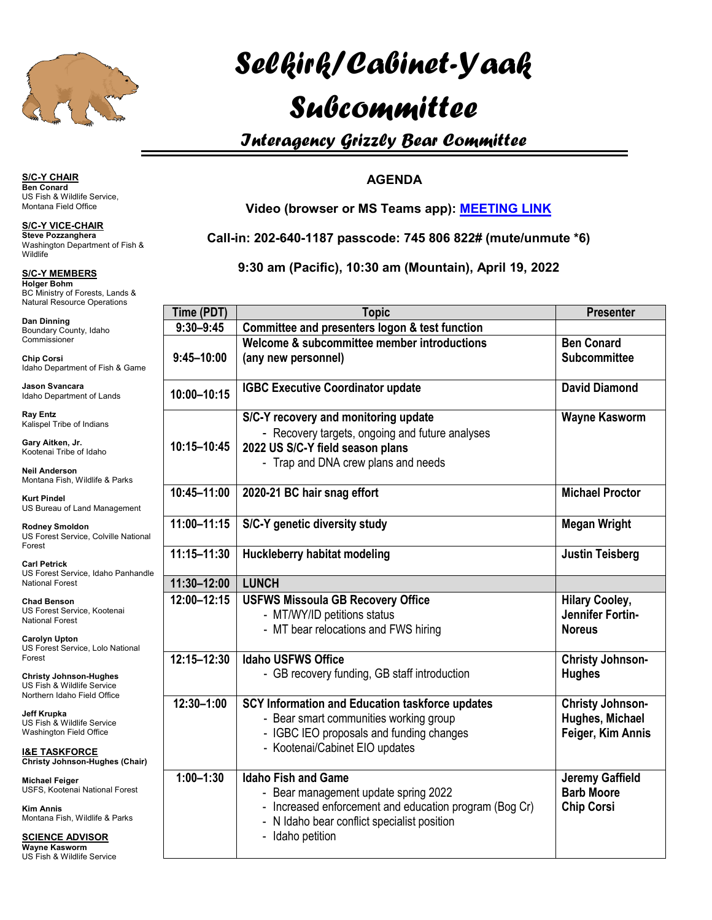

# *Selkirk/Cabinet-Yaak*

## *Subcommittee*

### *Interagency Grizzly Bear Committee*

#### **AGENDA**

**Video (browser or MS Teams app): [MEETING LINK](https://gcc02.safelinks.protection.outlook.com/ap/t-59584e83/?url=https%3A%2F%2Fteams.microsoft.com%2Fl%2Fmeetup-join%2F19%253ameeting_Y2E0YjExMDYtYTEzOC00NTM5LWFlMTMtOWU4Yzk1NmJlOTc2%2540thread.v2%2F0%3Fcontext%3D%257b%2522Tid%2522%253a%25220693b5ba-4b18-4d7b-9341-f32f400a5494%2522%252c%2522Oid%2522%253a%2522cf0a9f5f-96e3-40d9-8958-057946ae248a%2522%257d&data=04%7C01%7Cjustin_teisberg%40fws.gov%7Cc06f39db58fa4b12f13708da0b5cf27a%7C0693b5ba4b184d7b9341f32f400a5494%7C0%7C0%7C637834791072175721%7CUnknown%7CTWFpbGZsb3d8eyJWIjoiMC4wLjAwMDAiLCJQIjoiV2luMzIiLCJBTiI6Ik1haWwiLCJXVCI6Mn0%3D%7C3000&sdata=14JimmxRYJMD613wMG89fCweInn6eW%2FfPh07encfOIM%3D&reserved=0)**

**Call-in: 202-640-1187 passcode: 745 806 822# (mute/unmute \*6)**

**9:30 am (Pacific), 10:30 am (Mountain), April 19, 2022**

| ource Operations                                                                                         |                |                                                                                                                                                                                                 |                                                                  |
|----------------------------------------------------------------------------------------------------------|----------------|-------------------------------------------------------------------------------------------------------------------------------------------------------------------------------------------------|------------------------------------------------------------------|
|                                                                                                          | Time (PDT)     | <b>Topic</b>                                                                                                                                                                                    | <b>Presenter</b>                                                 |
| ounty, Idaho                                                                                             | $9:30 - 9:45$  | Committee and presenters logon & test function                                                                                                                                                  |                                                                  |
| er<br>tment of Fish & Game                                                                               | $9:45 - 10:00$ | Welcome & subcommittee member introductions<br>(any new personnel)                                                                                                                              | <b>Ben Conard</b><br><b>Subcommittee</b>                         |
| cara<br>tment of Lands                                                                                   | 10:00-10:15    | <b>IGBC Executive Coordinator update</b>                                                                                                                                                        | <b>David Diamond</b>                                             |
| e of Indians<br>, Jr.<br>be of Idaho<br>on<br>h, Wildlife & Parks                                        | 10:15-10:45    | S/C-Y recovery and monitoring update<br>- Recovery targets, ongoing and future analyses<br>2022 US S/C-Y field season plans<br>- Trap and DNA crew plans and needs                              | <b>Wayne Kasworm</b>                                             |
| f Land Management                                                                                        | 10:45-11:00    | 2020-21 BC hair snag effort                                                                                                                                                                     | <b>Michael Proctor</b>                                           |
| oldon<br>ervice, Colville National                                                                       | 11:00-11:15    | S/C-Y genetic diversity study                                                                                                                                                                   | <b>Megan Wright</b>                                              |
|                                                                                                          | 11:15-11:30    | Huckleberry habitat modeling                                                                                                                                                                    | <b>Justin Teisberg</b>                                           |
| ervice, Idaho Panhandle<br>est                                                                           | 11:30-12:00    | <b>LUNCH</b>                                                                                                                                                                                    |                                                                  |
| 'n<br>ervice, Kootenai<br>est<br>on<br>ervice, Lolo National                                             | 12:00-12:15    | <b>USFWS Missoula GB Recovery Office</b><br>- MT/WY/ID petitions status<br>- MT bear relocations and FWS hiring                                                                                 | <b>Hilary Cooley,</b><br>Jennifer Fortin-<br><b>Noreus</b>       |
| nson-Hughes<br>ildlife Service<br>ho Field Office                                                        | 12:15-12:30    | <b>Idaho USFWS Office</b><br>- GB recovery funding, GB staff introduction                                                                                                                       | <b>Christy Johnson-</b><br><b>Hughes</b>                         |
| 'ildlife Service<br>Field Office<br>FORCE<br>nson-Hughes (Chair)                                         | 12:30-1:00     | SCY Information and Education taskforce updates<br>- Bear smart communities working group<br>- IGBC IEO proposals and funding changes<br>- Kootenai/Cabinet EIO updates                         | <b>Christy Johnson-</b><br>Hughes, Michael<br>Feiger, Kim Annis  |
| 1er<br>nai National Forest<br>h, Wildlife & Parks<br><u>ADVISOR</u><br>vorm<br>'ildlifa San <i>r</i> ica | $1:00 - 1:30$  | <b>Idaho Fish and Game</b><br>- Bear management update spring 2022<br>- Increased enforcement and education program (Bog Cr)<br>- N Idaho bear conflict specialist position<br>- Idaho petition | <b>Jeremy Gaffield</b><br><b>Barb Moore</b><br><b>Chip Corsi</b> |

#### **S/C-Y CHAIR Ben Conard** US Fish & Wildlife Service,

Montana Field Office

**S/C-Y VICE-CHAIR Steve Pozzanghera** Washington Department of Fish & **Wildlife** 

**S/C-Y MEMBERS Holger Bohm** BC Ministry of Forests, Lands & Natural Reso

**Dan Dinning** Boundary Co Commissione

**Chip Corsi** Idaho Depar

- **Jason Svan** Idaho Depart
- **Ray Entz** Kalispel Tribe

**Gary Aitken,** Kootenai Trib

**Neil Anders** Montana Fish

**Kurt Pindel** US Bureau of

**Rodney Smo** US Forest Se Forest

**Carl Petrick** US Forest Se **National Fore** 

**Chad Benso** US Forest Se **National Fore** 

**Carolyn Upt** US Forest Se Forest

**Christy John** US Fish & W Northern Idal

**Jeff Krupka** US Fish & W

Washington

**I&E TASKF** 

**Christy John Michael Feid** 

**USFS, Koote** 

**Kim Annis** Montana Fish

**SCIENCE** 

**Wayne Kasv** US Fish & Wildlife Service